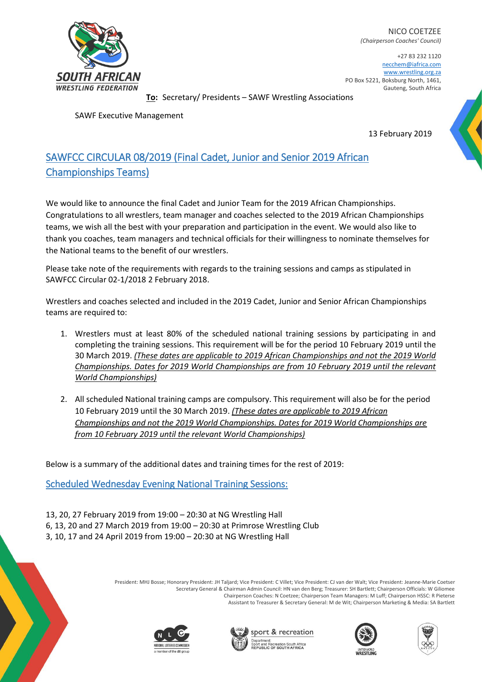

NICO COETZEE *(Chairperson Coaches' Council)*

+27 83 232 1120 necchem@iafrica.com [www.wrestling.org.za](http://www.wrestling.org.za/) PO Box 5221, Boksburg North, 1461, Gauteng, South Africa

**To:** Secretary/ Presidents – SAWF Wrestling Associations

SAWF Executive Management

13 February 2019

## SAWFCC CIRCULAR 08/2019 (Final Cadet, Junior and Senior 2019 African Championships Teams)

We would like to announce the final Cadet and Junior Team for the 2019 African Championships. Congratulations to all wrestlers, team manager and coaches selected to the 2019 African Championships teams, we wish all the best with your preparation and participation in the event. We would also like to thank you coaches, team managers and technical officials for their willingness to nominate themselves for the National teams to the benefit of our wrestlers.

Please take note of the requirements with regards to the training sessions and camps as stipulated in SAWFCC Circular 02-1/2018 2 February 2018.

Wrestlers and coaches selected and included in the 2019 Cadet, Junior and Senior African Championships teams are required to:

- 1. Wrestlers must at least 80% of the scheduled national training sessions by participating in and completing the training sessions. This requirement will be for the period 10 February 2019 until the 30 March 2019. *(These dates are applicable to 2019 African Championships and not the 2019 World Championships. Dates for 2019 World Championships are from 10 February 2019 until the relevant World Championships)*
- 2. All scheduled National training camps are compulsory. This requirement will also be for the period 10 February 2019 until the 30 March 2019. *(These dates are applicable to 2019 African Championships and not the 2019 World Championships. Dates for 2019 World Championships are from 10 February 2019 until the relevant World Championships)*

Below is a summary of the additional dates and training times for the rest of 2019:

Scheduled Wednesday Evening National Training Sessions:

13, 20, 27 February 2019 from 19:00 – 20:30 at NG Wrestling Hall 6, 13, 20 and 27 March 2019 from 19:00 – 20:30 at Primrose Wrestling Club 3, 10, 17 and 24 April 2019 from 19:00 – 20:30 at NG Wrestling Hall

> President: MHJ Bosse; Honorary President: JH Taljard; Vice President: C Villet; Vice President: CJ van der Walt; Vice President: Jeanne-Marie Coetser Secretary General & Chairman Admin Council: HN van den Berg; Treasurer: SH Bartlett; Chairperson Officials: W Giliomee Chairperson Coaches: N Coetzee; Chairperson Team Managers: M Luff; Chairperson HSSC: R Pieterse Assistant to Treasurer & Secretary General: M de Wit; Chairperson Marketing & Media: SA Bartlett







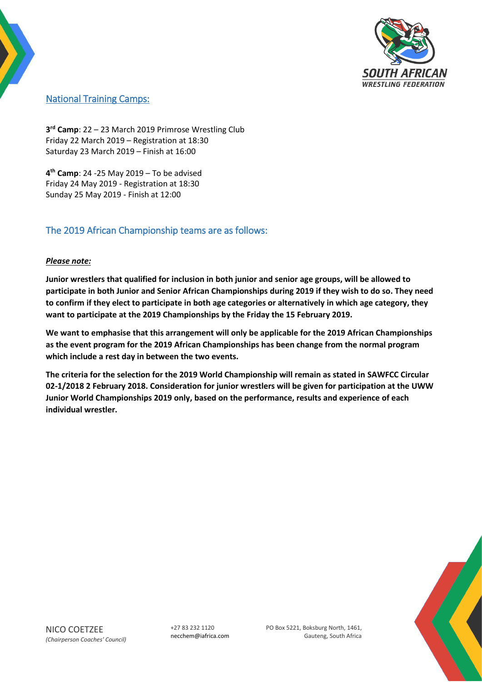

## National Training Camps:

**3 rd Camp**: 22 – 23 March 2019 Primrose Wrestling Club Friday 22 March 2019 – Registration at 18:30 Saturday 23 March 2019 – Finish at 16:00

**4 th Camp**: 24 -25 May 2019 – To be advised Friday 24 May 2019 - Registration at 18:30 Sunday 25 May 2019 - Finish at 12:00

## The 2019 African Championship teams are as follows:

## *Please note:*

**Junior wrestlers that qualified for inclusion in both junior and senior age groups, will be allowed to participate in both Junior and Senior African Championships during 2019 if they wish to do so. They need to confirm if they elect to participate in both age categories or alternatively in which age category, they want to participate at the 2019 Championships by the Friday the 15 February 2019.** 

**We want to emphasise that this arrangement will only be applicable for the 2019 African Championships as the event program for the 2019 African Championships has been change from the normal program which include a rest day in between the two events.**

**The criteria for the selection for the 2019 World Championship will remain as stated in SAWFCC Circular 02-1/2018 2 February 2018. Consideration for junior wrestlers will be given for participation at the UWW Junior World Championships 2019 only, based on the performance, results and experience of each individual wrestler.** 



PO Box 5221, Boksburg North, 1461, Gauteng, South Africa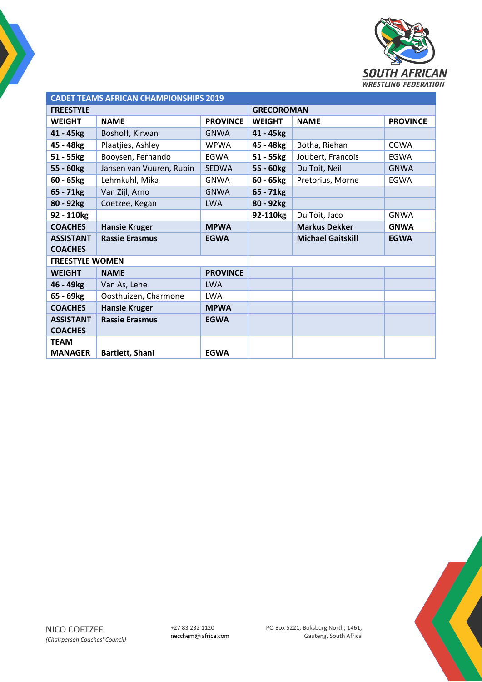

| <b>CADET TEAMS AFRICAN CHAMPIONSHIPS 2019</b> |                          |                 |                   |                          |                 |  |  |
|-----------------------------------------------|--------------------------|-----------------|-------------------|--------------------------|-----------------|--|--|
| <b>FREESTYLE</b>                              |                          |                 | <b>GRECOROMAN</b> |                          |                 |  |  |
| <b>WEIGHT</b>                                 | <b>NAME</b>              | <b>PROVINCE</b> | <b>WEIGHT</b>     | <b>NAME</b>              | <b>PROVINCE</b> |  |  |
| 41 - 45kg                                     | Boshoff, Kirwan          | <b>GNWA</b>     | 41 - 45kg         |                          |                 |  |  |
| 45 - 48kg                                     | Plaatjies, Ashley        | <b>WPWA</b>     | 45 - 48kg         | Botha, Riehan            | CGWA            |  |  |
| 51 - 55kg                                     | Booysen, Fernando        | <b>EGWA</b>     | $51 - 55$ $kg$    | Joubert, Francois        | <b>EGWA</b>     |  |  |
| 55 - 60kg                                     | Jansen van Vuuren, Rubin | <b>SEDWA</b>    | 55 - 60kg         | Du Toit, Neil            | <b>GNWA</b>     |  |  |
| $60 - 65$ <sub>kg</sub>                       | Lehmkuhl, Mika           | <b>GNWA</b>     | $60 - 65kg$       | Pretorius, Morne         | <b>EGWA</b>     |  |  |
| $65 - 71kg$                                   | Van Zijl, Arno           | <b>GNWA</b>     | 65 - 71kg         |                          |                 |  |  |
| 80 - 92kg                                     | Coetzee, Kegan           | <b>LWA</b>      | 80 - 92kg         |                          |                 |  |  |
| 92 - 110kg                                    |                          |                 | 92-110kg          | Du Toit, Jaco            | <b>GNWA</b>     |  |  |
| <b>COACHES</b>                                | <b>Hansie Kruger</b>     | <b>MPWA</b>     |                   | <b>Markus Dekker</b>     | <b>GNWA</b>     |  |  |
| <b>ASSISTANT</b>                              | <b>Rassie Erasmus</b>    | <b>EGWA</b>     |                   | <b>Michael Gaitskill</b> | <b>EGWA</b>     |  |  |
| <b>COACHES</b>                                |                          |                 |                   |                          |                 |  |  |
| <b>FREESTYLE WOMEN</b>                        |                          |                 |                   |                          |                 |  |  |
| <b>WEIGHT</b>                                 | <b>NAME</b>              | <b>PROVINCE</b> |                   |                          |                 |  |  |
| 46 - 49kg                                     | Van As, Lene             | <b>LWA</b>      |                   |                          |                 |  |  |
| 65 - 69kg                                     | Oosthuizen, Charmone     | <b>LWA</b>      |                   |                          |                 |  |  |
| <b>COACHES</b>                                | <b>Hansie Kruger</b>     | <b>MPWA</b>     |                   |                          |                 |  |  |
| <b>ASSISTANT</b>                              | <b>Rassie Erasmus</b>    | <b>EGWA</b>     |                   |                          |                 |  |  |
| <b>COACHES</b>                                |                          |                 |                   |                          |                 |  |  |
| <b>TEAM</b>                                   |                          |                 |                   |                          |                 |  |  |
| <b>MANAGER</b>                                | Bartlett, Shani          | <b>EGWA</b>     |                   |                          |                 |  |  |